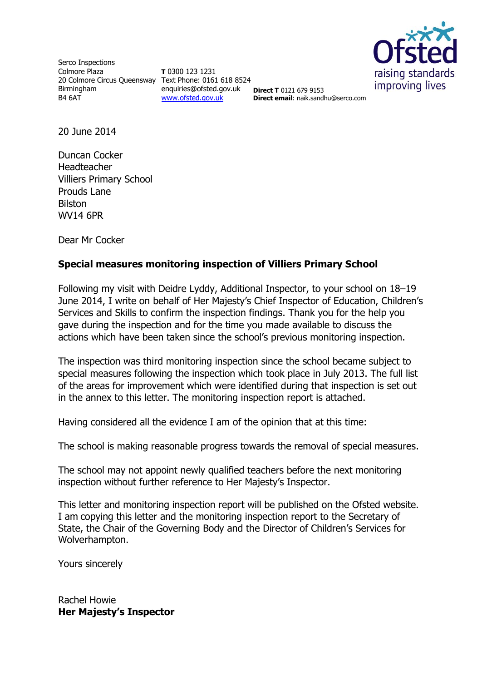

Serco Inspections Colmore Plaza 20 Colmore Circus Queensway Text Phone: 0161 618 8524 Birmingham B4 6AT

**T** 0300 123 1231 enquiries@ofsted.gov.uk [www.ofsted.gov.uk](http://www.ofsted.gov.uk/)

**Direct T** 0121 679 9153 **Direct email**: naik.sandhu@serco.com

20 June 2014

Duncan Cocker Headteacher Villiers Primary School Prouds Lane Bilston WV14 6PR

Dear Mr Cocker

# **Special measures monitoring inspection of Villiers Primary School**

Following my visit with Deidre Lyddy, Additional Inspector, to your school on 18–19 June 2014, I write on behalf of Her Majesty's Chief Inspector of Education, Children's Services and Skills to confirm the inspection findings. Thank you for the help you gave during the inspection and for the time you made available to discuss the actions which have been taken since the school's previous monitoring inspection.

The inspection was third monitoring inspection since the school became subject to special measures following the inspection which took place in July 2013. The full list of the areas for improvement which were identified during that inspection is set out in the annex to this letter. The monitoring inspection report is attached.

Having considered all the evidence I am of the opinion that at this time:

The school is making reasonable progress towards the removal of special measures.

The school may not appoint newly qualified teachers before the next monitoring inspection without further reference to Her Majesty's Inspector.

This letter and monitoring inspection report will be published on the Ofsted website. I am copying this letter and the monitoring inspection report to the Secretary of State, the Chair of the Governing Body and the Director of Children's Services for Wolverhampton.

Yours sincerely

Rachel Howie **Her Majesty's Inspector**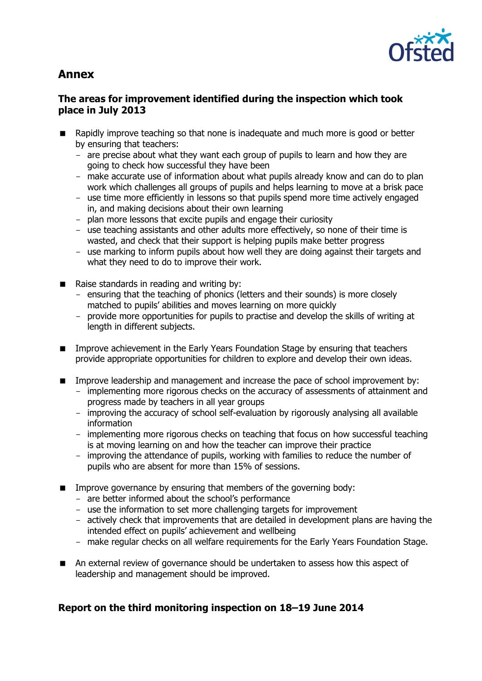# **Annex**



### **The areas for improvement identified during the inspection which took place in July 2013**

- **Rapidly improve teaching so that none is inadequate and much more is good or better** by ensuring that teachers:
	- are precise about what they want each group of pupils to learn and how they are going to check how successful they have been
	- make accurate use of information about what pupils already know and can do to plan work which challenges all groups of pupils and helps learning to move at a brisk pace
	- use time more efficiently in lessons so that pupils spend more time actively engaged in, and making decisions about their own learning
	- plan more lessons that excite pupils and engage their curiosity
	- use teaching assistants and other adults more effectively, so none of their time is wasted, and check that their support is helping pupils make better progress
	- use marking to inform pupils about how well they are doing against their targets and what they need to do to improve their work.
- $\blacksquare$  Raise standards in reading and writing by:
	- ensuring that the teaching of phonics (letters and their sounds) is more closely matched to pupils' abilities and moves learning on more quickly
	- provide more opportunities for pupils to practise and develop the skills of writing at length in different subjects.
- Improve achievement in the Early Years Foundation Stage by ensuring that teachers provide appropriate opportunities for children to explore and develop their own ideas.
- **IMPROVE LEADERSHIP and management and increase the pace of school improvement by:** 
	- implementing more rigorous checks on the accuracy of assessments of attainment and progress made by teachers in all year groups
	- improving the accuracy of school self-evaluation by rigorously analysing all available information
	- implementing more rigorous checks on teaching that focus on how successful teaching is at moving learning on and how the teacher can improve their practice
	- improving the attendance of pupils, working with families to reduce the number of pupils who are absent for more than 15% of sessions.
- $\blacksquare$  Improve governance by ensuring that members of the governing body:
	- are better informed about the school's performance
	- use the information to set more challenging targets for improvement
	- actively check that improvements that are detailed in development plans are having the intended effect on pupils' achievement and wellbeing
	- make regular checks on all welfare requirements for the Early Years Foundation Stage.
- An external review of governance should be undertaken to assess how this aspect of leadership and management should be improved.

# **Report on the third monitoring inspection on 18–19 June 2014**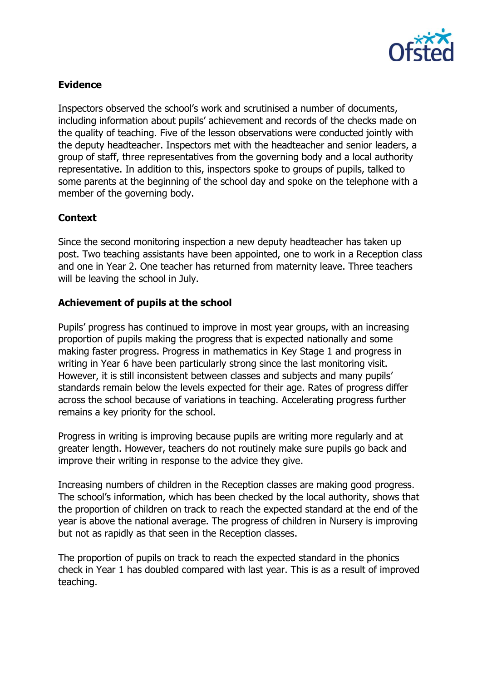

# **Evidence**

Inspectors observed the school's work and scrutinised a number of documents, including information about pupils' achievement and records of the checks made on the quality of teaching. Five of the lesson observations were conducted jointly with the deputy headteacher. Inspectors met with the headteacher and senior leaders, a group of staff, three representatives from the governing body and a local authority representative. In addition to this, inspectors spoke to groups of pupils, talked to some parents at the beginning of the school day and spoke on the telephone with a member of the governing body.

# **Context**

Since the second monitoring inspection a new deputy headteacher has taken up post. Two teaching assistants have been appointed, one to work in a Reception class and one in Year 2. One teacher has returned from maternity leave. Three teachers will be leaving the school in July.

#### **Achievement of pupils at the school**

Pupils' progress has continued to improve in most year groups, with an increasing proportion of pupils making the progress that is expected nationally and some making faster progress. Progress in mathematics in Key Stage 1 and progress in writing in Year 6 have been particularly strong since the last monitoring visit. However, it is still inconsistent between classes and subjects and many pupils' standards remain below the levels expected for their age. Rates of progress differ across the school because of variations in teaching. Accelerating progress further remains a key priority for the school.

Progress in writing is improving because pupils are writing more regularly and at greater length. However, teachers do not routinely make sure pupils go back and improve their writing in response to the advice they give.

Increasing numbers of children in the Reception classes are making good progress. The school's information, which has been checked by the local authority, shows that the proportion of children on track to reach the expected standard at the end of the year is above the national average. The progress of children in Nursery is improving but not as rapidly as that seen in the Reception classes.

The proportion of pupils on track to reach the expected standard in the phonics check in Year 1 has doubled compared with last year. This is as a result of improved teaching.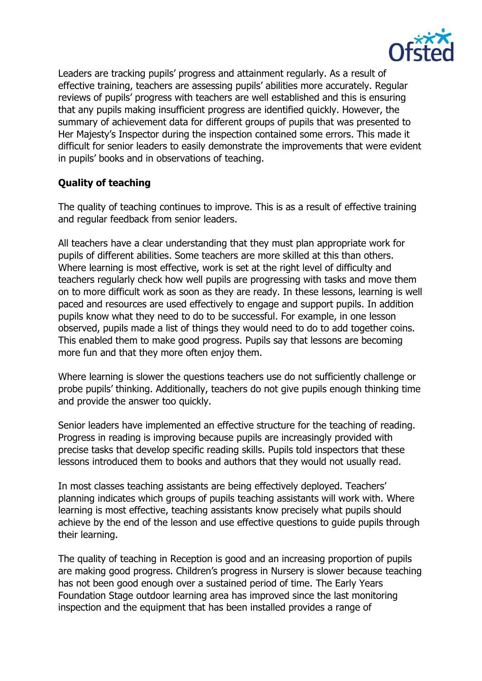

Leaders are tracking pupils' progress and attainment regularly. As a result of effective training, teachers are assessing pupils' abilities more accurately. Regular reviews of pupils' progress with teachers are well established and this is ensuring that any pupils making insufficient progress are identified quickly. However, the summary of achievement data for different groups of pupils that was presented to Her Majesty's Inspector during the inspection contained some errors. This made it difficult for senior leaders to easily demonstrate the improvements that were evident in pupils' books and in observations of teaching.

# **Quality of teaching**

The quality of teaching continues to improve. This is as a result of effective training and regular feedback from senior leaders.

All teachers have a clear understanding that they must plan appropriate work for pupils of different abilities. Some teachers are more skilled at this than others. Where learning is most effective, work is set at the right level of difficulty and teachers regularly check how well pupils are progressing with tasks and move them on to more difficult work as soon as they are ready. In these lessons, learning is well paced and resources are used effectively to engage and support pupils. In addition pupils know what they need to do to be successful. For example, in one lesson observed, pupils made a list of things they would need to do to add together coins. This enabled them to make good progress. Pupils say that lessons are becoming more fun and that they more often enjoy them.

Where learning is slower the questions teachers use do not sufficiently challenge or probe pupils' thinking. Additionally, teachers do not give pupils enough thinking time and provide the answer too quickly.

Senior leaders have implemented an effective structure for the teaching of reading. Progress in reading is improving because pupils are increasingly provided with precise tasks that develop specific reading skills. Pupils told inspectors that these lessons introduced them to books and authors that they would not usually read.

In most classes teaching assistants are being effectively deployed. Teachers' planning indicates which groups of pupils teaching assistants will work with. Where learning is most effective, teaching assistants know precisely what pupils should achieve by the end of the lesson and use effective questions to guide pupils through their learning.

The quality of teaching in Reception is good and an increasing proportion of pupils are making good progress. Children's progress in Nursery is slower because teaching has not been good enough over a sustained period of time. The Early Years Foundation Stage outdoor learning area has improved since the last monitoring inspection and the equipment that has been installed provides a range of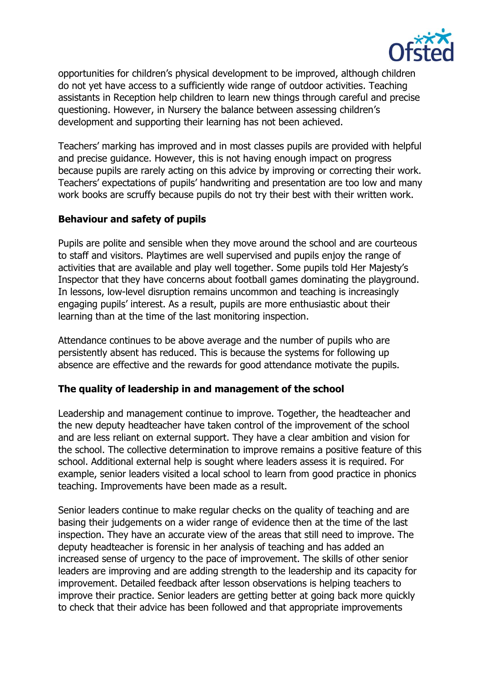

opportunities for children's physical development to be improved, although children do not yet have access to a sufficiently wide range of outdoor activities. Teaching assistants in Reception help children to learn new things through careful and precise questioning. However, in Nursery the balance between assessing children's development and supporting their learning has not been achieved.

Teachers' marking has improved and in most classes pupils are provided with helpful and precise guidance. However, this is not having enough impact on progress because pupils are rarely acting on this advice by improving or correcting their work. Teachers' expectations of pupils' handwriting and presentation are too low and many work books are scruffy because pupils do not try their best with their written work.

#### **Behaviour and safety of pupils**

Pupils are polite and sensible when they move around the school and are courteous to staff and visitors. Playtimes are well supervised and pupils enjoy the range of activities that are available and play well together. Some pupils told Her Majesty's Inspector that they have concerns about football games dominating the playground. In lessons, low-level disruption remains uncommon and teaching is increasingly engaging pupils' interest. As a result, pupils are more enthusiastic about their learning than at the time of the last monitoring inspection.

Attendance continues to be above average and the number of pupils who are persistently absent has reduced. This is because the systems for following up absence are effective and the rewards for good attendance motivate the pupils.

#### **The quality of leadership in and management of the school**

Leadership and management continue to improve. Together, the headteacher and the new deputy headteacher have taken control of the improvement of the school and are less reliant on external support. They have a clear ambition and vision for the school. The collective determination to improve remains a positive feature of this school. Additional external help is sought where leaders assess it is required. For example, senior leaders visited a local school to learn from good practice in phonics teaching. Improvements have been made as a result.

Senior leaders continue to make regular checks on the quality of teaching and are basing their judgements on a wider range of evidence then at the time of the last inspection. They have an accurate view of the areas that still need to improve. The deputy headteacher is forensic in her analysis of teaching and has added an increased sense of urgency to the pace of improvement. The skills of other senior leaders are improving and are adding strength to the leadership and its capacity for improvement. Detailed feedback after lesson observations is helping teachers to improve their practice. Senior leaders are getting better at going back more quickly to check that their advice has been followed and that appropriate improvements